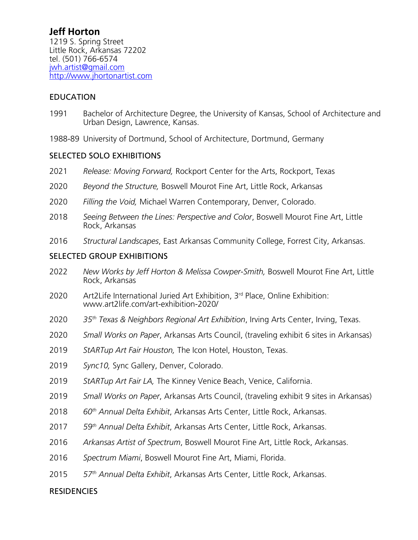# **Jeff Horton**

1219 S. Spring Street Little Rock, Arkansas 72202 tel. (501) 766-6574 jwh.artist@gmail.com http://www.jhortonartist.com

#### EDUCATION

- 1991 Bachelor of Architecture Degree, the University of Kansas, School of Architecture and Urban Design, Lawrence, Kansas.
- 1988-89 University of Dortmund, School of Architecture, Dortmund, Germany

#### SELECTED SOLO EXHIBITIONS

- 2021 *Release: Moving Forward,* Rockport Center for the Arts, Rockport, Texas
- 2020 *Beyond the Structure,* Boswell Mourot Fine Art, Little Rock, Arkansas
- 2020 *Filling the Void,* Michael Warren Contemporary, Denver, Colorado.
- 2018 *Seeing Between the Lines: Perspective and Color*, Boswell Mourot Fine Art, Little Rock, Arkansas
- 2016 *Structural Landscapes*, East Arkansas Community College, Forrest City, Arkansas.

#### SELECTED GROUP EXHIBITIONS

- 2022 *New Works by Jeff Horton & Melissa Cowper-Smith,* Boswell Mourot Fine Art, Little Rock, Arkansas
- 2020 Art2Life International Juried Art Exhibition, 3rd Place, Online Exhibition: www.art2life.com/art-exhibition-2020/
- 2020 *35th Texas & Neighbors Regional Art Exhibition*, Irving Arts Center, Irving, Texas.
- 2020 *Small Works on Paper*, Arkansas Arts Council, (traveling exhibit 6 sites in Arkansas)
- 2019 *StARTup Art Fair Houston,* The Icon Hotel, Houston, Texas.
- 2019 *Sync10,* Sync Gallery, Denver, Colorado.
- 2019 *StARTup Art Fair LA,* The Kinney Venice Beach, Venice, California.
- 2019 *Small Works on Paper*, Arkansas Arts Council, (traveling exhibit 9 sites in Arkansas)
- 2018 *60th Annual Delta Exhibit*, Arkansas Arts Center, Little Rock, Arkansas.
- 2017 *59th Annual Delta Exhibit*, Arkansas Arts Center, Little Rock, Arkansas.
- 2016 *Arkansas Artist of Spectrum*, Boswell Mourot Fine Art, Little Rock, Arkansas.
- 2016 *Spectrum Miami*, Boswell Mourot Fine Art, Miami, Florida.
- 2015 *57th Annual Delta Exhibit*, Arkansas Arts Center, Little Rock, Arkansas.

#### **RESIDENCIES**